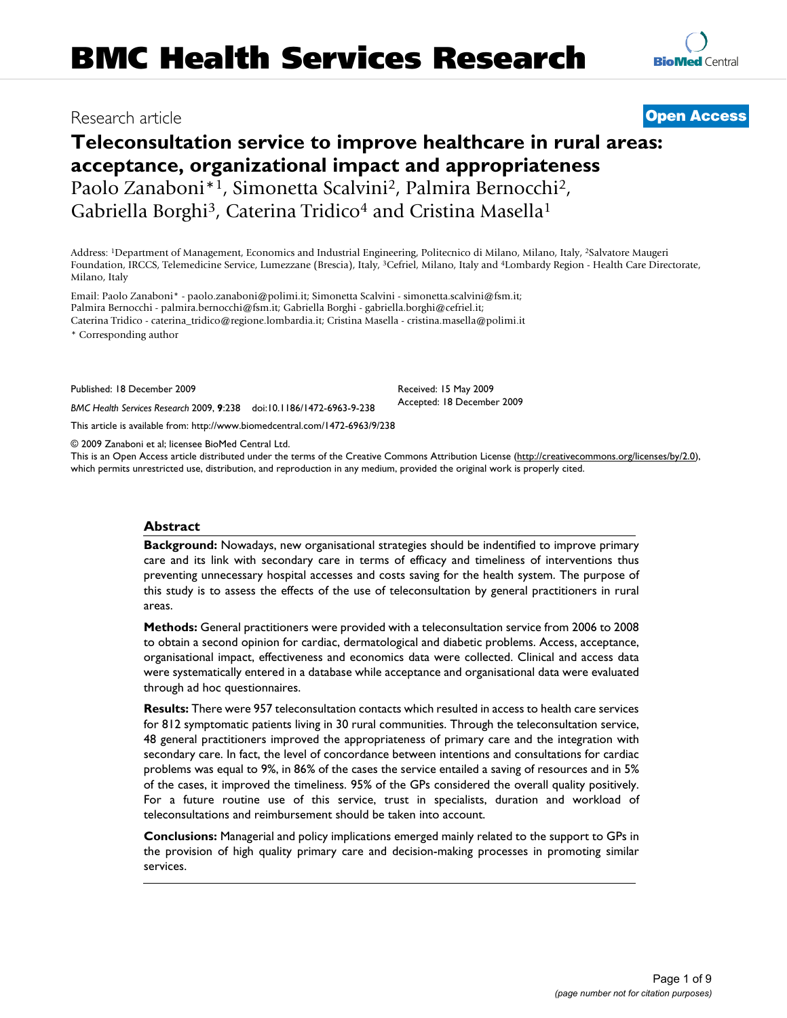# **Teleconsultation service to improve healthcare in rural areas: acceptance, organizational impact and appropriateness** Paolo Zanaboni\*1, Simonetta Scalvini2, Palmira Bernocchi2, Gabriella Borghi<sup>3</sup>, Caterina Tridico<sup>4</sup> and Cristina Masella<sup>1</sup>

Address: 1Department of Management, Economics and Industrial Engineering, Politecnico di Milano, Milano, Italy, 2Salvatore Maugeri Foundation, IRCCS, Telemedicine Service, Lumezzane (Brescia), Italy, 3Cefriel, Milano, Italy and 4Lombardy Region - Health Care Directorate, Milano, Italy

Email: Paolo Zanaboni\* - paolo.zanaboni@polimi.it; Simonetta Scalvini - simonetta.scalvini@fsm.it; Palmira Bernocchi - palmira.bernocchi@fsm.it; Gabriella Borghi - gabriella.borghi@cefriel.it; Caterina Tridico - caterina\_tridico@regione.lombardia.it; Cristina Masella - cristina.masella@polimi.it

\* Corresponding author

Published: 18 December 2009

*BMC Health Services Research* 2009, **9**:238 doi:10.1186/1472-6963-9-238

[This article is available from: http://www.biomedcentral.com/1472-6963/9/238](http://www.biomedcentral.com/1472-6963/9/238)

© 2009 Zanaboni et al; licensee BioMed Central Ltd.

This is an Open Access article distributed under the terms of the Creative Commons Attribution License [\(http://creativecommons.org/licenses/by/2.0\)](http://creativecommons.org/licenses/by/2.0), which permits unrestricted use, distribution, and reproduction in any medium, provided the original work is properly cited.

### **Abstract**

**Background:** Nowadays, new organisational strategies should be indentified to improve primary care and its link with secondary care in terms of efficacy and timeliness of interventions thus preventing unnecessary hospital accesses and costs saving for the health system. The purpose of this study is to assess the effects of the use of teleconsultation by general practitioners in rural areas.

**Methods:** General practitioners were provided with a teleconsultation service from 2006 to 2008 to obtain a second opinion for cardiac, dermatological and diabetic problems. Access, acceptance, organisational impact, effectiveness and economics data were collected. Clinical and access data were systematically entered in a database while acceptance and organisational data were evaluated through ad hoc questionnaires.

**Results:** There were 957 teleconsultation contacts which resulted in access to health care services for 812 symptomatic patients living in 30 rural communities. Through the teleconsultation service, 48 general practitioners improved the appropriateness of primary care and the integration with secondary care. In fact, the level of concordance between intentions and consultations for cardiac problems was equal to 9%, in 86% of the cases the service entailed a saving of resources and in 5% of the cases, it improved the timeliness. 95% of the GPs considered the overall quality positively. For a future routine use of this service, trust in specialists, duration and workload of teleconsultations and reimbursement should be taken into account.

**Conclusions:** Managerial and policy implications emerged mainly related to the support to GPs in the provision of high quality primary care and decision-making processes in promoting similar services.

Received: 15 May 2009 Accepted: 18 December 2009

Research article **[Open Access](http://www.biomedcentral.com/info/about/charter/)**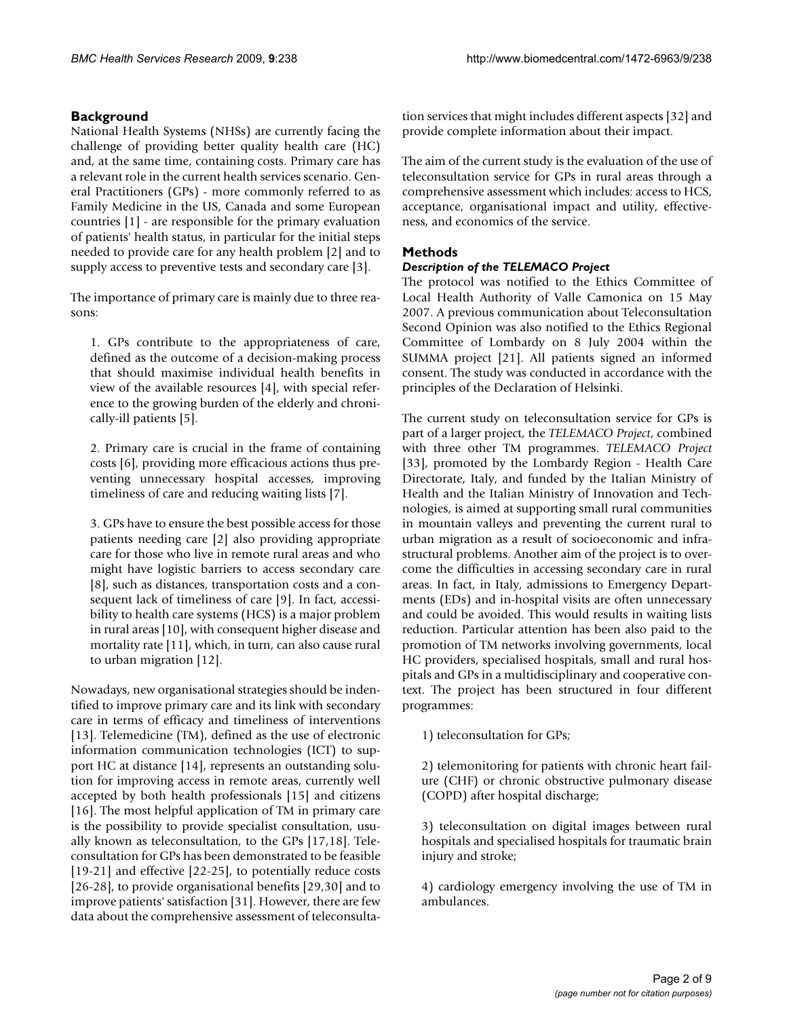# **Background**

National Health Systems (NHSs) are currently facing the challenge of providing better quality health care (HC) and, at the same time, containing costs. Primary care has a relevant role in the current health services scenario. General Practitioners (GPs) - more commonly referred to as Family Medicine in the US, Canada and some European countries [1] - are responsible for the primary evaluation of patients' health status, in particular for the initial steps needed to provide care for any health problem [2] and to supply access to preventive tests and secondary care [3].

The importance of primary care is mainly due to three reasons:

1. GPs contribute to the appropriateness of care, defined as the outcome of a decision-making process that should maximise individual health benefits in view of the available resources [4], with special reference to the growing burden of the elderly and chronically-ill patients [5].

2. Primary care is crucial in the frame of containing costs [6], providing more efficacious actions thus preventing unnecessary hospital accesses, improving timeliness of care and reducing waiting lists [7].

3. GPs have to ensure the best possible access for those patients needing care [2] also providing appropriate care for those who live in remote rural areas and who might have logistic barriers to access secondary care [8], such as distances, transportation costs and a consequent lack of timeliness of care [9]. In fact, accessibility to health care systems (HCS) is a major problem in rural areas [10], with consequent higher disease and mortality rate [11], which, in turn, can also cause rural to urban migration [12].

Nowadays, new organisational strategies should be indentified to improve primary care and its link with secondary care in terms of efficacy and timeliness of interventions [13]. Telemedicine (TM), defined as the use of electronic information communication technologies (ICT) to support HC at distance [14], represents an outstanding solution for improving access in remote areas, currently well accepted by both health professionals [15] and citizens [16]. The most helpful application of TM in primary care is the possibility to provide specialist consultation, usually known as teleconsultation, to the GPs [17,18]. Teleconsultation for GPs has been demonstrated to be feasible [19-21] and effective [22-25], to potentially reduce costs [26-28], to provide organisational benefits [29,30] and to improve patients' satisfaction [31]. However, there are few data about the comprehensive assessment of teleconsultation services that might includes different aspects [32] and provide complete information about their impact.

The aim of the current study is the evaluation of the use of teleconsultation service for GPs in rural areas through a comprehensive assessment which includes: access to HCS, acceptance, organisational impact and utility, effectiveness, and economics of the service.

# **Methods**

# *Description of the TELEMACO Project*

The protocol was notified to the Ethics Committee of Local Health Authority of Valle Camonica on 15 May 2007. A previous communication about Teleconsultation Second Opinion was also notified to the Ethics Regional Committee of Lombardy on 8 July 2004 within the SUMMA project [21]. All patients signed an informed consent. The study was conducted in accordance with the principles of the Declaration of Helsinki.

The current study on teleconsultation service for GPs is part of a larger project, the *TELEMACO Project*, combined with three other TM programmes. *TELEMACO Project* [33], promoted by the Lombardy Region - Health Care Directorate, Italy, and funded by the Italian Ministry of Health and the Italian Ministry of Innovation and Technologies, is aimed at supporting small rural communities in mountain valleys and preventing the current rural to urban migration as a result of socioeconomic and infrastructural problems. Another aim of the project is to overcome the difficulties in accessing secondary care in rural areas. In fact, in Italy, admissions to Emergency Departments (EDs) and in-hospital visits are often unnecessary and could be avoided. This would results in waiting lists reduction. Particular attention has been also paid to the promotion of TM networks involving governments, local HC providers, specialised hospitals, small and rural hospitals and GPs in a multidisciplinary and cooperative context. The project has been structured in four different programmes:

1) teleconsultation for GPs;

2) telemonitoring for patients with chronic heart failure (CHF) or chronic obstructive pulmonary disease (COPD) after hospital discharge;

3) teleconsultation on digital images between rural hospitals and specialised hospitals for traumatic brain injury and stroke;

4) cardiology emergency involving the use of TM in ambulances.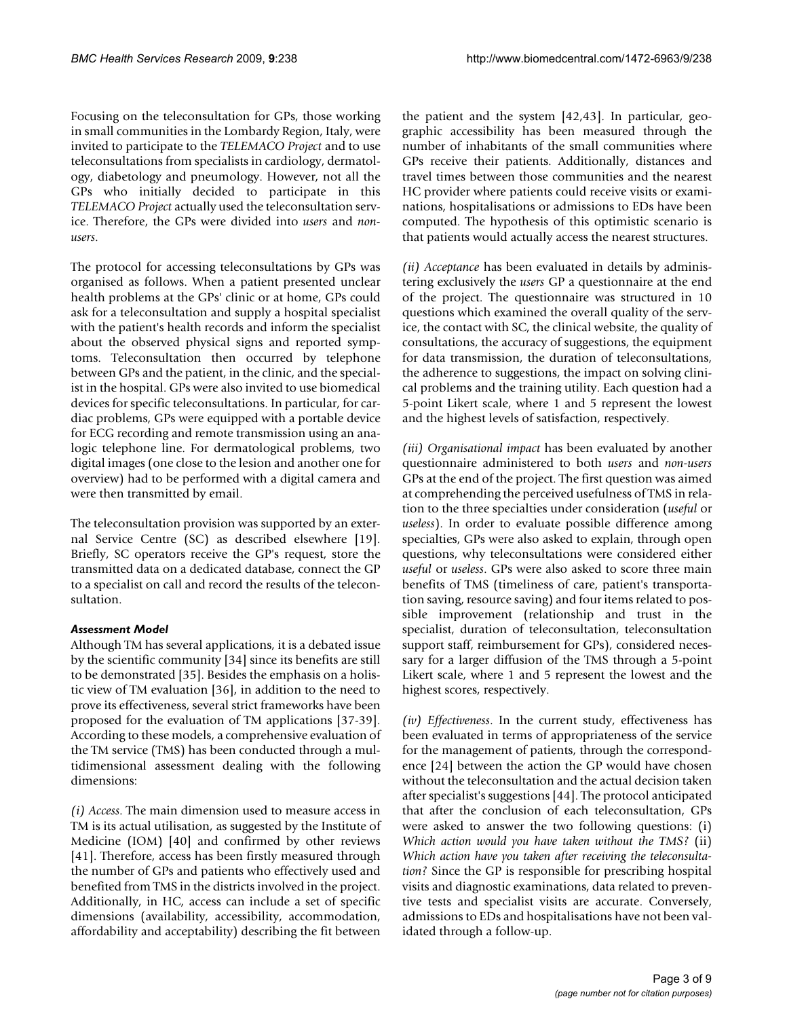Focusing on the teleconsultation for GPs, those working in small communities in the Lombardy Region, Italy, were invited to participate to the *TELEMACO Project* and to use teleconsultations from specialists in cardiology, dermatology, diabetology and pneumology. However, not all the GPs who initially decided to participate in this *TELEMACO Project* actually used the teleconsultation service. Therefore, the GPs were divided into *users* and *nonusers*.

The protocol for accessing teleconsultations by GPs was organised as follows. When a patient presented unclear health problems at the GPs' clinic or at home, GPs could ask for a teleconsultation and supply a hospital specialist with the patient's health records and inform the specialist about the observed physical signs and reported symptoms. Teleconsultation then occurred by telephone between GPs and the patient, in the clinic, and the specialist in the hospital. GPs were also invited to use biomedical devices for specific teleconsultations. In particular, for cardiac problems, GPs were equipped with a portable device for ECG recording and remote transmission using an analogic telephone line. For dermatological problems, two digital images (one close to the lesion and another one for overview) had to be performed with a digital camera and were then transmitted by email.

The teleconsultation provision was supported by an external Service Centre (SC) as described elsewhere [19]. Briefly, SC operators receive the GP's request, store the transmitted data on a dedicated database, connect the GP to a specialist on call and record the results of the teleconsultation.

# *Assessment Model*

Although TM has several applications, it is a debated issue by the scientific community [34] since its benefits are still to be demonstrated [35]. Besides the emphasis on a holistic view of TM evaluation [36], in addition to the need to prove its effectiveness, several strict frameworks have been proposed for the evaluation of TM applications [37-39]. According to these models, a comprehensive evaluation of the TM service (TMS) has been conducted through a multidimensional assessment dealing with the following dimensions:

*(i) Access*. The main dimension used to measure access in TM is its actual utilisation, as suggested by the Institute of Medicine (IOM) [40] and confirmed by other reviews [41]. Therefore, access has been firstly measured through the number of GPs and patients who effectively used and benefited from TMS in the districts involved in the project. Additionally, in HC, access can include a set of specific dimensions (availability, accessibility, accommodation, affordability and acceptability) describing the fit between

the patient and the system [42,43]. In particular, geographic accessibility has been measured through the number of inhabitants of the small communities where GPs receive their patients. Additionally, distances and travel times between those communities and the nearest HC provider where patients could receive visits or examinations, hospitalisations or admissions to EDs have been computed. The hypothesis of this optimistic scenario is that patients would actually access the nearest structures.

*(ii) Acceptance* has been evaluated in details by administering exclusively the *users* GP a questionnaire at the end of the project. The questionnaire was structured in 10 questions which examined the overall quality of the service, the contact with SC, the clinical website, the quality of consultations, the accuracy of suggestions, the equipment for data transmission, the duration of teleconsultations, the adherence to suggestions, the impact on solving clinical problems and the training utility. Each question had a 5-point Likert scale, where 1 and 5 represent the lowest and the highest levels of satisfaction, respectively.

*(iii) Organisational impact* has been evaluated by another questionnaire administered to both *users* and *non-users* GPs at the end of the project. The first question was aimed at comprehending the perceived usefulness of TMS in relation to the three specialties under consideration (*useful* or *useless*). In order to evaluate possible difference among specialties, GPs were also asked to explain, through open questions, why teleconsultations were considered either *useful* or *useless*. GPs were also asked to score three main benefits of TMS (timeliness of care, patient's transportation saving, resource saving) and four items related to possible improvement (relationship and trust in the specialist, duration of teleconsultation, teleconsultation support staff, reimbursement for GPs), considered necessary for a larger diffusion of the TMS through a 5-point Likert scale, where 1 and 5 represent the lowest and the highest scores, respectively.

*(iv) Effectiveness*. In the current study, effectiveness has been evaluated in terms of appropriateness of the service for the management of patients, through the correspondence [24] between the action the GP would have chosen without the teleconsultation and the actual decision taken after specialist's suggestions [44]. The protocol anticipated that after the conclusion of each teleconsultation, GPs were asked to answer the two following questions: (i) *Which action would you have taken without the TMS?* (ii) *Which action have you taken after receiving the teleconsultation?* Since the GP is responsible for prescribing hospital visits and diagnostic examinations, data related to preventive tests and specialist visits are accurate. Conversely, admissions to EDs and hospitalisations have not been validated through a follow-up.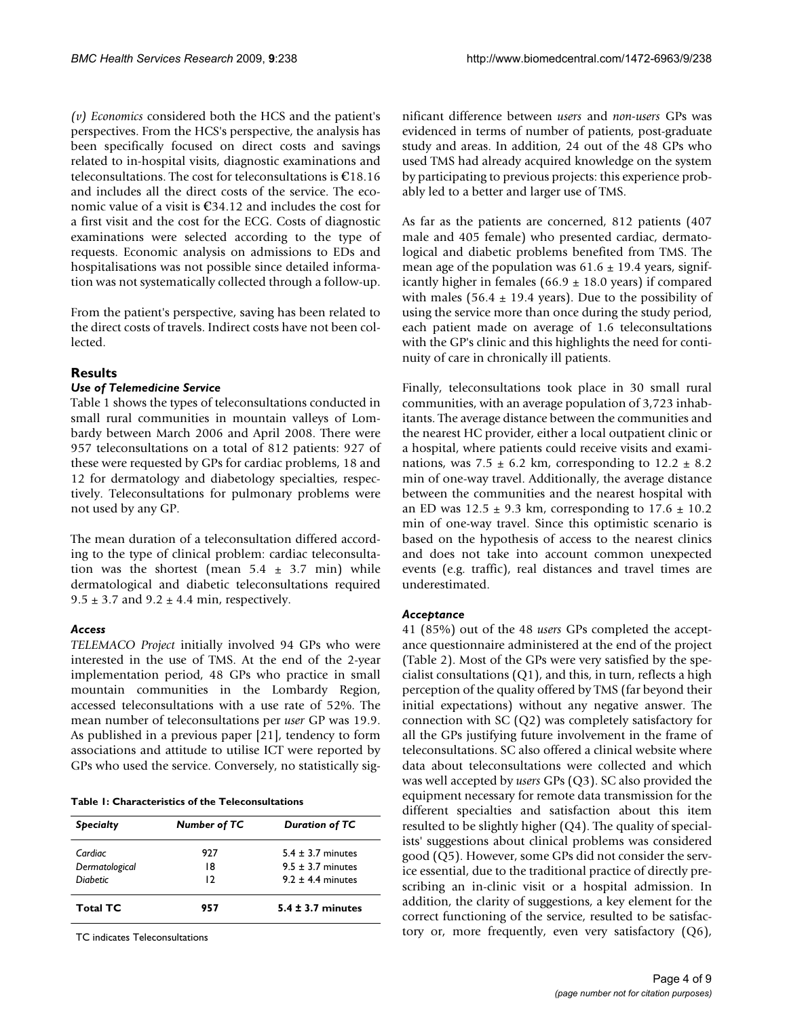*(v) Economics* considered both the HCS and the patient's perspectives. From the HCS's perspective, the analysis has been specifically focused on direct costs and savings related to in-hospital visits, diagnostic examinations and teleconsultations. The cost for teleconsultations is  $E18.16$ and includes all the direct costs of the service. The economic value of a visit is €34.12 and includes the cost for a first visit and the cost for the ECG. Costs of diagnostic examinations were selected according to the type of requests. Economic analysis on admissions to EDs and hospitalisations was not possible since detailed information was not systematically collected through a follow-up.

From the patient's perspective, saving has been related to the direct costs of travels. Indirect costs have not been collected.

# **Results**

## *Use of Telemedicine Service*

Table 1 shows the types of teleconsultations conducted in small rural communities in mountain valleys of Lombardy between March 2006 and April 2008. There were 957 teleconsultations on a total of 812 patients: 927 of these were requested by GPs for cardiac problems, 18 and 12 for dermatology and diabetology specialties, respectively. Teleconsultations for pulmonary problems were not used by any GP.

The mean duration of a teleconsultation differed according to the type of clinical problem: cardiac teleconsultation was the shortest (mean  $5.4 \pm 3.7$  min) while dermatological and diabetic teleconsultations required  $9.5 \pm 3.7$  and  $9.2 \pm 4.4$  min, respectively.

# *Access*

*TELEMACO Project* initially involved 94 GPs who were interested in the use of TMS. At the end of the 2-year implementation period, 48 GPs who practice in small mountain communities in the Lombardy Region, accessed teleconsultations with a use rate of 52%. The mean number of teleconsultations per *user* GP was 19.9. As published in a previous paper [21], tendency to form associations and attitude to utilise ICT were reported by GPs who used the service. Conversely, no statistically sig-

| <b>Specialty</b> | <b>Number of TC</b> | <b>Duration of TC</b> |
|------------------|---------------------|-----------------------|
| Cardiac          | 927                 | $5.4 \pm 3.7$ minutes |
| Dermatological   | 18                  | $9.5 + 3.7$ minutes   |
| <b>Diabetic</b>  | 12                  | $9.2 + 4.4$ minutes   |
| <b>Total TC</b>  | 957                 | $5.4 \pm 3.7$ minutes |

TC indicates Teleconsultations

nificant difference between *users* and *non-users* GPs was evidenced in terms of number of patients, post-graduate study and areas. In addition, 24 out of the 48 GPs who used TMS had already acquired knowledge on the system by participating to previous projects: this experience probably led to a better and larger use of TMS.

As far as the patients are concerned, 812 patients (407 male and 405 female) who presented cardiac, dermatological and diabetic problems benefited from TMS. The mean age of the population was  $61.6 \pm 19.4$  years, significantly higher in females (66.9  $\pm$  18.0 years) if compared with males (56.4  $\pm$  19.4 years). Due to the possibility of using the service more than once during the study period, each patient made on average of 1.6 teleconsultations with the GP's clinic and this highlights the need for continuity of care in chronically ill patients.

Finally, teleconsultations took place in 30 small rural communities, with an average population of 3,723 inhabitants. The average distance between the communities and the nearest HC provider, either a local outpatient clinic or a hospital, where patients could receive visits and examinations, was  $7.5 \pm 6.2$  km, corresponding to  $12.2 \pm 8.2$ min of one-way travel. Additionally, the average distance between the communities and the nearest hospital with an ED was  $12.5 \pm 9.3$  km, corresponding to  $17.6 \pm 10.2$ min of one-way travel. Since this optimistic scenario is based on the hypothesis of access to the nearest clinics and does not take into account common unexpected events (e.g. traffic), real distances and travel times are underestimated.

# *Acceptance*

41 (85%) out of the 48 *users* GPs completed the acceptance questionnaire administered at the end of the project (Table 2). Most of the GPs were very satisfied by the specialist consultations  $(Q1)$ , and this, in turn, reflects a high perception of the quality offered by TMS (far beyond their initial expectations) without any negative answer. The connection with SC (Q2) was completely satisfactory for all the GPs justifying future involvement in the frame of teleconsultations. SC also offered a clinical website where data about teleconsultations were collected and which was well accepted by *users* GPs (Q3). SC also provided the equipment necessary for remote data transmission for the different specialties and satisfaction about this item resulted to be slightly higher (Q4). The quality of specialists' suggestions about clinical problems was considered good (Q5). However, some GPs did not consider the service essential, due to the traditional practice of directly prescribing an in-clinic visit or a hospital admission. In addition, the clarity of suggestions, a key element for the correct functioning of the service, resulted to be satisfactory or, more frequently, even very satisfactory (Q6),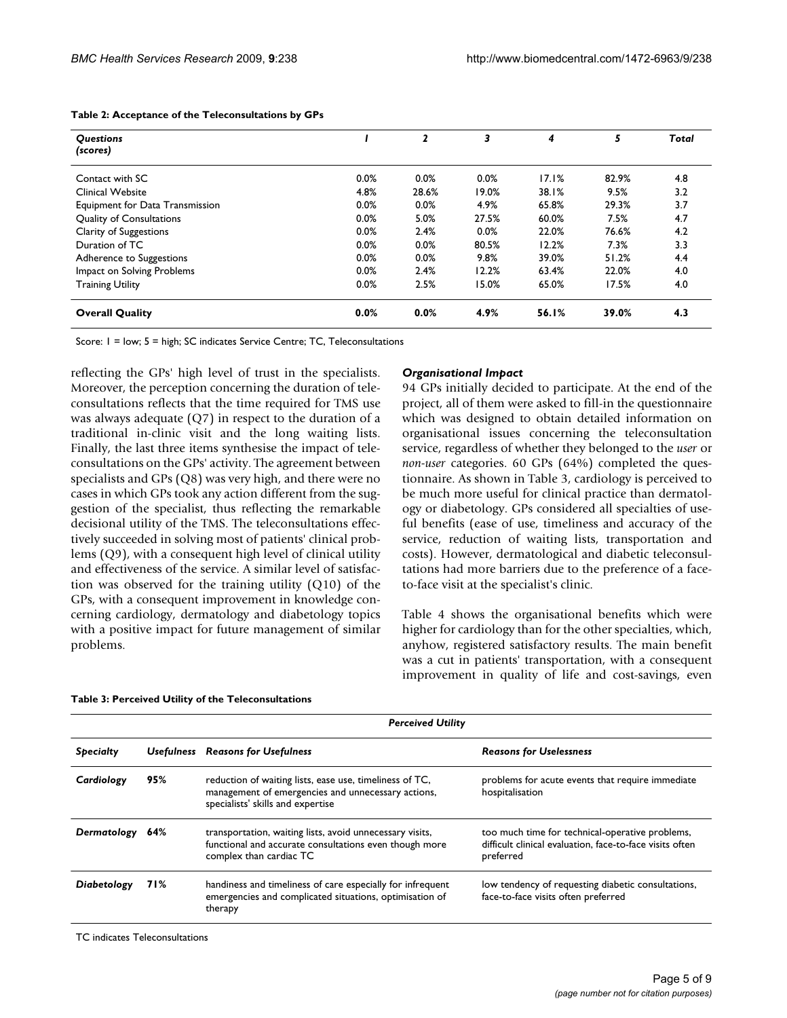| <b>Questions</b><br>(scores)    |      | 2     | 3     | 4     | 5     | Total |
|---------------------------------|------|-------|-------|-------|-------|-------|
| Contact with SC                 | 0.0% | 0.0%  | 0.0%  | 17.1% | 82.9% | 4.8   |
| Clinical Website                | 4.8% | 28.6% | 19.0% | 38.1% | 9.5%  | 3.2   |
| Equipment for Data Transmission | 0.0% | 0.0%  | 4.9%  | 65.8% | 29.3% | 3.7   |
| Quality of Consultations        | 0.0% | 5.0%  | 27.5% | 60.0% | 7.5%  | 4.7   |
| Clarity of Suggestions          | 0.0% | 2.4%  | 0.0%  | 22.0% | 76.6% | 4.2   |
| Duration of TC                  | 0.0% | 0.0%  | 80.5% | 12.2% | 7.3%  | 3.3   |
| Adherence to Suggestions        | 0.0% | 0.0%  | 9.8%  | 39.0% | 51.2% | 4.4   |
| Impact on Solving Problems      | 0.0% | 2.4%  | 12.2% | 63.4% | 22.0% | 4.0   |
| <b>Training Utility</b>         | 0.0% | 2.5%  | 15.0% | 65.0% | 17.5% | 4.0   |
| <b>Overall Quality</b>          | 0.0% | 0.0%  | 4.9%  | 56.1% | 39.0% | 4.3   |

**Table 2: Acceptance of the Teleconsultations by GPs**

Score: 1 = low; 5 = high; SC indicates Service Centre; TC, Teleconsultations

reflecting the GPs' high level of trust in the specialists. Moreover, the perception concerning the duration of teleconsultations reflects that the time required for TMS use was always adequate (Q7) in respect to the duration of a traditional in-clinic visit and the long waiting lists. Finally, the last three items synthesise the impact of teleconsultations on the GPs' activity. The agreement between specialists and GPs (Q8) was very high, and there were no cases in which GPs took any action different from the suggestion of the specialist, thus reflecting the remarkable decisional utility of the TMS. The teleconsultations effectively succeeded in solving most of patients' clinical problems (Q9), with a consequent high level of clinical utility and effectiveness of the service. A similar level of satisfaction was observed for the training utility (Q10) of the GPs, with a consequent improvement in knowledge concerning cardiology, dermatology and diabetology topics with a positive impact for future management of similar problems.

#### *Organisational Impact*

94 GPs initially decided to participate. At the end of the project, all of them were asked to fill-in the questionnaire which was designed to obtain detailed information on organisational issues concerning the teleconsultation service, regardless of whether they belonged to the *user* or *non-user* categories. 60 GPs (64%) completed the questionnaire. As shown in Table 3, cardiology is perceived to be much more useful for clinical practice than dermatology or diabetology. GPs considered all specialties of useful benefits (ease of use, timeliness and accuracy of the service, reduction of waiting lists, transportation and costs). However, dermatological and diabetic teleconsultations had more barriers due to the preference of a faceto-face visit at the specialist's clinic.

Table 4 shows the organisational benefits which were higher for cardiology than for the other specialties, which, anyhow, registered satisfactory results. The main benefit was a cut in patients' transportation, with a consequent improvement in quality of life and cost-savings, even

**Table 3: Perceived Utility of the Teleconsultations**

|                  | <b>Perceived Utility</b> |                                                                                                                                                    |                                                                                                                          |  |  |  |
|------------------|--------------------------|----------------------------------------------------------------------------------------------------------------------------------------------------|--------------------------------------------------------------------------------------------------------------------------|--|--|--|
| <b>Specialty</b> |                          | Usefulness Reasons for Usefulness                                                                                                                  | <b>Reasons for Uselessness</b>                                                                                           |  |  |  |
| Cardiology       | 95%                      | reduction of waiting lists, ease use, timeliness of TC,<br>management of emergencies and unnecessary actions,<br>specialists' skills and expertise | problems for acute events that require immediate<br>hospitalisation                                                      |  |  |  |
| Dermatology      | 64%                      | transportation, waiting lists, avoid unnecessary visits,<br>functional and accurate consultations even though more<br>complex than cardiac TC      | too much time for technical-operative problems,<br>difficult clinical evaluation, face-to-face visits often<br>preferred |  |  |  |
| Diabetology      | 71%                      | handiness and timeliness of care especially for infrequent<br>emergencies and complicated situations, optimisation of<br>therapy                   | low tendency of requesting diabetic consultations,<br>face-to-face visits often preferred                                |  |  |  |

TC indicates Teleconsultations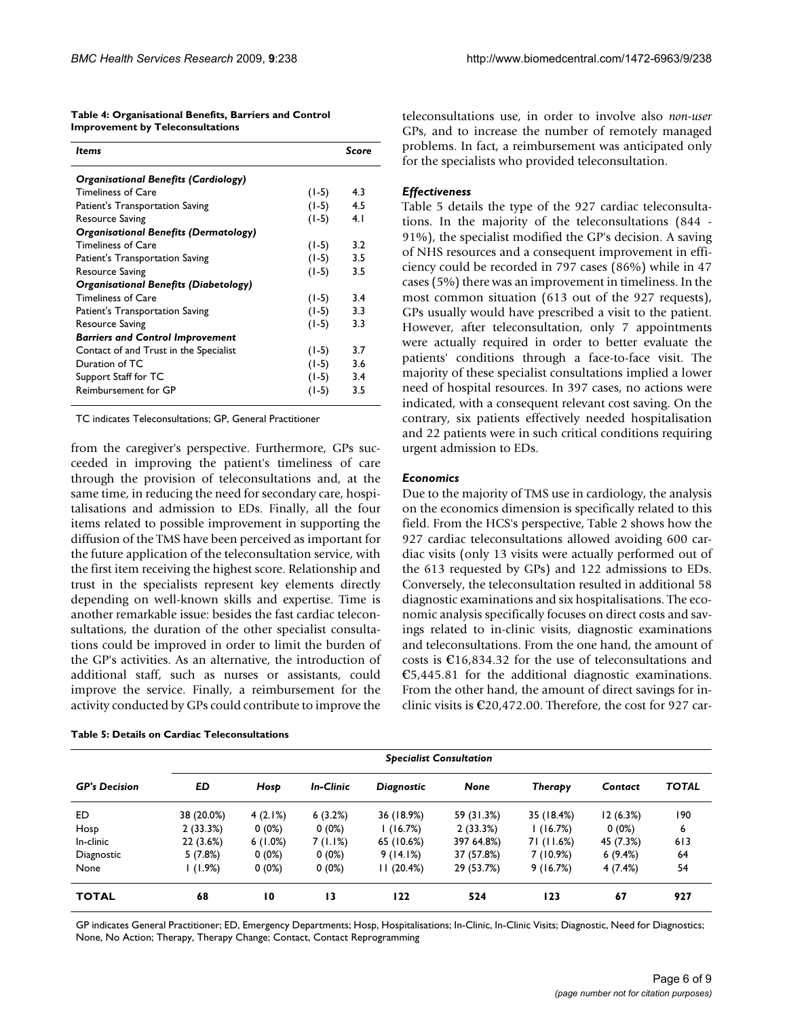| Table 4: Organisational Benefits, Barriers and Control |  |
|--------------------------------------------------------|--|
| <b>Improvement by Teleconsultations</b>                |  |

| ltems                                        |         | Score |
|----------------------------------------------|---------|-------|
| Organisational Benefits (Cardiology)         |         |       |
| <b>Timeliness of Care</b>                    | $(1-5)$ | 4.3   |
| Patient's Transportation Saving              | $(1-5)$ | 4.5   |
| <b>Resource Saving</b>                       | $(1-5)$ | 4.1   |
| <b>Organisational Benefits (Dermatology)</b> |         |       |
| Timeliness of Care                           | $(1-5)$ | 3.2   |
| Patient's Transportation Saving              | $(1-5)$ | 3.5   |
| Resource Saving                              | $(1-5)$ | 3.5   |
| Organisational Benefits (Diabetology)        |         |       |
| Timeliness of Care                           | $(1-5)$ | 3.4   |
| Patient's Transportation Saving              | $(1-5)$ | 3.3   |
| Resource Saving                              | $(1-5)$ | 3.3   |
| <b>Barriers and Control Improvement</b>      |         |       |
| Contact of and Trust in the Specialist       | $(1-5)$ | 3.7   |
| Duration of TC                               | $(1-5)$ | 3.6   |
| Support Staff for TC                         | $(1-5)$ | 3.4   |
| Reimbursement for GP                         | $(1-5)$ | 3.5   |
|                                              |         |       |

TC indicates Teleconsultations; GP, General Practitioner

from the caregiver's perspective. Furthermore, GPs succeeded in improving the patient's timeliness of care through the provision of teleconsultations and, at the same time, in reducing the need for secondary care, hospitalisations and admission to EDs. Finally, all the four items related to possible improvement in supporting the diffusion of the TMS have been perceived as important for the future application of the teleconsultation service, with the first item receiving the highest score. Relationship and trust in the specialists represent key elements directly depending on well-known skills and expertise. Time is another remarkable issue: besides the fast cardiac teleconsultations, the duration of the other specialist consultations could be improved in order to limit the burden of the GP's activities. As an alternative, the introduction of additional staff, such as nurses or assistants, could improve the service. Finally, a reimbursement for the activity conducted by GPs could contribute to improve the

| Table 5: Details on Cardiac Teleconsultations |
|-----------------------------------------------|
|-----------------------------------------------|

teleconsultations use, in order to involve also *non-user* GPs, and to increase the number of remotely managed problems. In fact, a reimbursement was anticipated only for the specialists who provided teleconsultation.

#### *Effectiveness*

Table 5 details the type of the 927 cardiac teleconsultations. In the majority of the teleconsultations (844 - 91%), the specialist modified the GP's decision. A saving of NHS resources and a consequent improvement in efficiency could be recorded in 797 cases (86%) while in 47 cases (5%) there was an improvement in timeliness. In the most common situation (613 out of the 927 requests), GPs usually would have prescribed a visit to the patient. However, after teleconsultation, only 7 appointments were actually required in order to better evaluate the patients' conditions through a face-to-face visit. The majority of these specialist consultations implied a lower need of hospital resources. In 397 cases, no actions were indicated, with a consequent relevant cost saving. On the contrary, six patients effectively needed hospitalisation and 22 patients were in such critical conditions requiring urgent admission to EDs.

#### *Economics*

Due to the majority of TMS use in cardiology, the analysis on the economics dimension is specifically related to this field. From the HCS's perspective, Table 2 shows how the 927 cardiac teleconsultations allowed avoiding 600 cardiac visits (only 13 visits were actually performed out of the 613 requested by GPs) and 122 admissions to EDs. Conversely, the teleconsultation resulted in additional 58 diagnostic examinations and six hospitalisations. The economic analysis specifically focuses on direct costs and savings related to in-clinic visits, diagnostic examinations and teleconsultations. From the one hand, the amount of costs is €16,834.32 for the use of teleconsultations and  $E$ 5,445.81 for the additional diagnostic examinations. From the other hand, the amount of direct savings for inclinic visits is €20,472.00. Therefore, the cost for 927 car-

|                      | <b>Specialist Consultation</b> |          |           |                   |             |            |           |              |
|----------------------|--------------------------------|----------|-----------|-------------------|-------------|------------|-----------|--------------|
| <b>GP's Decision</b> | ΕD                             | Hosp     | In-Clinic | <b>Diagnostic</b> | <b>None</b> | Therapy    | Contact   | <b>TOTAL</b> |
| ED                   | 38 (20.0%)                     | 4(2.1%)  | 6(3.2%)   | 36 (18.9%)        | 59 (31.3%)  | 35 (18.4%) | 12(6.3%)  | 190          |
| Hosp                 | 2(33.3%)                       | $0(0\%)$ | $0(0\%)$  | 1(16.7%)          | 2(33.3%)    | 1(16.7%)   | $0(0\%)$  | 6            |
| In-clinic            | 22(3.6%)                       | 6(1.0%)  | 7(1.1%)   | 65 (10.6%)        | 397 64.8%)  | 71 (11.6%) | 45 (7.3%) | 613          |
| Diagnostic           | 5(7.8%)                        | $0(0\%)$ | $0(0\%)$  | 9(14.1%)          | 37 (57.8%)  | 7(10.9%)   | 6(9.4%)   | 64           |
| None                 | (1.9%)                         | $0(0\%)$ | $0(0\%)$  | 11(20.4%)         | 29 (53.7%)  | 9(16.7%)   | 4 (7.4%)  | 54           |
| <b>TOTAL</b>         | 68                             | 10       | 13        | 122               | 524         | 123        | 67        | 927          |

GP indicates General Practitioner; ED, Emergency Departments; Hosp, Hospitalisations; In-Clinic, In-Clinic Visits; Diagnostic, Need for Diagnostics; None, No Action; Therapy, Therapy Change; Contact, Contact Reprogramming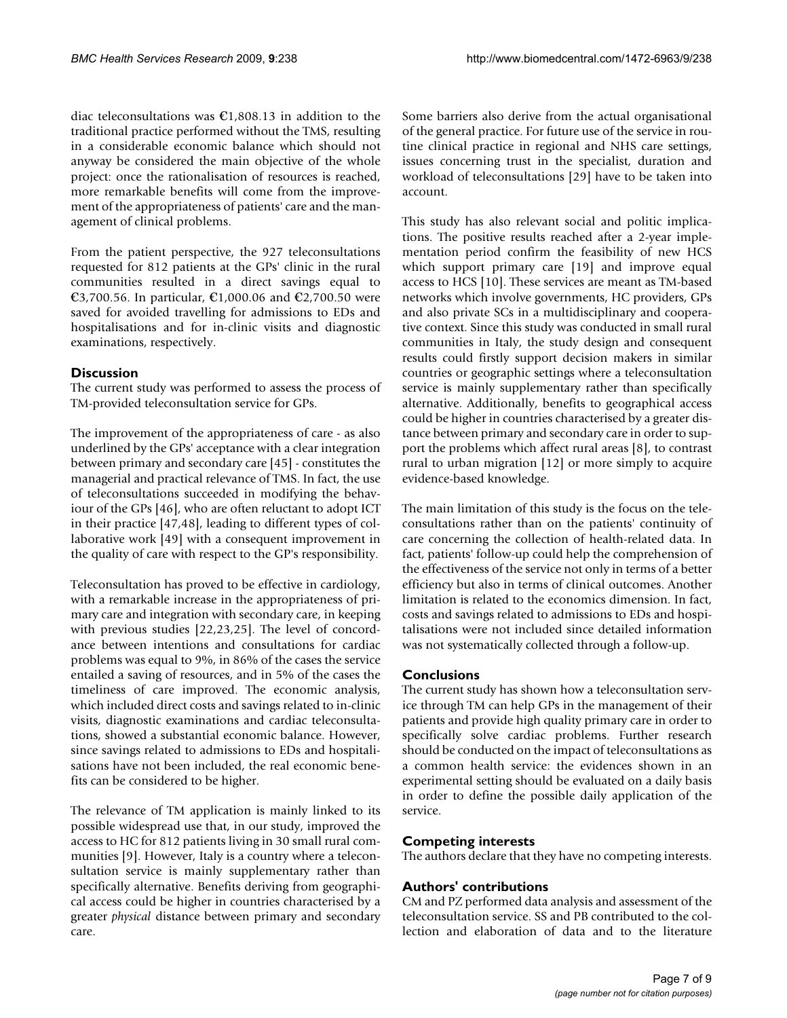diac teleconsultations was €1,808.13 in addition to the traditional practice performed without the TMS, resulting in a considerable economic balance which should not anyway be considered the main objective of the whole project: once the rationalisation of resources is reached, more remarkable benefits will come from the improvement of the appropriateness of patients' care and the management of clinical problems.

From the patient perspective, the 927 teleconsultations requested for 812 patients at the GPs' clinic in the rural communities resulted in a direct savings equal to €3,700.56. In particular, €1,000.06 and €2,700.50 were saved for avoided travelling for admissions to EDs and hospitalisations and for in-clinic visits and diagnostic examinations, respectively.

# **Discussion**

The current study was performed to assess the process of TM-provided teleconsultation service for GPs.

The improvement of the appropriateness of care - as also underlined by the GPs' acceptance with a clear integration between primary and secondary care [45] - constitutes the managerial and practical relevance of TMS. In fact, the use of teleconsultations succeeded in modifying the behaviour of the GPs [46], who are often reluctant to adopt ICT in their practice [47,48], leading to different types of collaborative work [49] with a consequent improvement in the quality of care with respect to the GP's responsibility.

Teleconsultation has proved to be effective in cardiology, with a remarkable increase in the appropriateness of primary care and integration with secondary care, in keeping with previous studies [22,23,25]. The level of concordance between intentions and consultations for cardiac problems was equal to 9%, in 86% of the cases the service entailed a saving of resources, and in 5% of the cases the timeliness of care improved. The economic analysis, which included direct costs and savings related to in-clinic visits, diagnostic examinations and cardiac teleconsultations, showed a substantial economic balance. However, since savings related to admissions to EDs and hospitalisations have not been included, the real economic benefits can be considered to be higher.

The relevance of TM application is mainly linked to its possible widespread use that, in our study, improved the access to HC for 812 patients living in 30 small rural communities [9]. However, Italy is a country where a teleconsultation service is mainly supplementary rather than specifically alternative. Benefits deriving from geographical access could be higher in countries characterised by a greater *physical* distance between primary and secondary care.

Some barriers also derive from the actual organisational of the general practice. For future use of the service in routine clinical practice in regional and NHS care settings, issues concerning trust in the specialist, duration and workload of teleconsultations [29] have to be taken into account.

This study has also relevant social and politic implications. The positive results reached after a 2-year implementation period confirm the feasibility of new HCS which support primary care [19] and improve equal access to HCS [10]. These services are meant as TM-based networks which involve governments, HC providers, GPs and also private SCs in a multidisciplinary and cooperative context. Since this study was conducted in small rural communities in Italy, the study design and consequent results could firstly support decision makers in similar countries or geographic settings where a teleconsultation service is mainly supplementary rather than specifically alternative. Additionally, benefits to geographical access could be higher in countries characterised by a greater distance between primary and secondary care in order to support the problems which affect rural areas [8], to contrast rural to urban migration [12] or more simply to acquire evidence-based knowledge.

The main limitation of this study is the focus on the teleconsultations rather than on the patients' continuity of care concerning the collection of health-related data. In fact, patients' follow-up could help the comprehension of the effectiveness of the service not only in terms of a better efficiency but also in terms of clinical outcomes. Another limitation is related to the economics dimension. In fact, costs and savings related to admissions to EDs and hospitalisations were not included since detailed information was not systematically collected through a follow-up.

# **Conclusions**

The current study has shown how a teleconsultation service through TM can help GPs in the management of their patients and provide high quality primary care in order to specifically solve cardiac problems. Further research should be conducted on the impact of teleconsultations as a common health service: the evidences shown in an experimental setting should be evaluated on a daily basis in order to define the possible daily application of the service.

# **Competing interests**

The authors declare that they have no competing interests.

# **Authors' contributions**

CM and PZ performed data analysis and assessment of the teleconsultation service. SS and PB contributed to the collection and elaboration of data and to the literature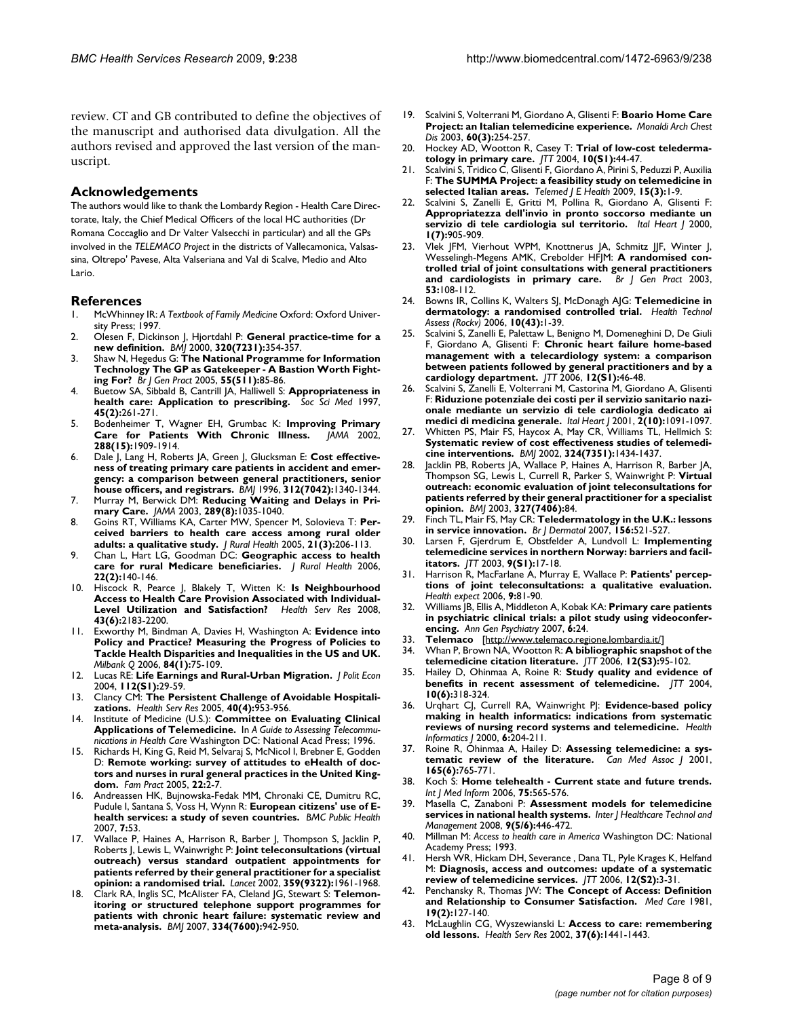review. CT and GB contributed to define the objectives of the manuscript and authorised data divulgation. All the authors revised and approved the last version of the manuscript.

#### **Acknowledgements**

The authors would like to thank the Lombardy Region - Health Care Directorate, Italy, the Chief Medical Officers of the local HC authorities (Dr Romana Coccaglio and Dr Valter Valsecchi in particular) and all the GPs involved in the *TELEMACO Project* in the districts of Vallecamonica, Valsassina, Oltrepo' Pavese, Alta Valseriana and Val di Scalve, Medio and Alto Lario.

#### **References**

- 1. McWhinney IR: *A Textbook of Family Medicine* Oxford: Oxford University Press; 1997.
- 2. Olesen F, Dickinson J, Hjortdahl P: **[General practice-time for a](http://www.ncbi.nlm.nih.gov/entrez/query.fcgi?cmd=Retrieve&db=PubMed&dopt=Abstract&list_uids=10657333) [new definition.](http://www.ncbi.nlm.nih.gov/entrez/query.fcgi?cmd=Retrieve&db=PubMed&dopt=Abstract&list_uids=10657333)** *BMJ* 2000, **320(7231):**354-357.
- 3. Shaw N, Hegedus G: **[The National Programme for Information](http://www.ncbi.nlm.nih.gov/entrez/query.fcgi?cmd=Retrieve&db=PubMed&dopt=Abstract&list_uids=15720927) [Technology The GP as Gatekeeper - A Bastion Worth Fight](http://www.ncbi.nlm.nih.gov/entrez/query.fcgi?cmd=Retrieve&db=PubMed&dopt=Abstract&list_uids=15720927)[ing For?](http://www.ncbi.nlm.nih.gov/entrez/query.fcgi?cmd=Retrieve&db=PubMed&dopt=Abstract&list_uids=15720927)** *Br J Gen Pract* 2005, **55(511):**85-86.
- 4. Buetow SA, Sibbald B, Cantrill JA, Halliwell S: **[Appropriateness in](http://www.ncbi.nlm.nih.gov/entrez/query.fcgi?cmd=Retrieve&db=PubMed&dopt=Abstract&list_uids=9225413) [health care: Application to prescribing.](http://www.ncbi.nlm.nih.gov/entrez/query.fcgi?cmd=Retrieve&db=PubMed&dopt=Abstract&list_uids=9225413)** *Soc Sci Med* 1997, **45(2):**261-271.
- 5. Bodenheimer T, Wagner EH, Grumbac K: **[Improving Primary](http://www.ncbi.nlm.nih.gov/entrez/query.fcgi?cmd=Retrieve&db=PubMed&dopt=Abstract&list_uids=12377092) [Care for Patients With Chronic Illness.](http://www.ncbi.nlm.nih.gov/entrez/query.fcgi?cmd=Retrieve&db=PubMed&dopt=Abstract&list_uids=12377092)** *JAMA* 2002, **288(15):**1909-1914.
- 6. Dale J, Lang H, Roberts JA, Green J, Glucksman E: **[Cost effective](http://www.ncbi.nlm.nih.gov/entrez/query.fcgi?cmd=Retrieve&db=PubMed&dopt=Abstract&list_uids=8646050)[ness of treating primary care patients in accident and emer](http://www.ncbi.nlm.nih.gov/entrez/query.fcgi?cmd=Retrieve&db=PubMed&dopt=Abstract&list_uids=8646050)gency: a comparison between general practitioners, senior [house officers, and registrars.](http://www.ncbi.nlm.nih.gov/entrez/query.fcgi?cmd=Retrieve&db=PubMed&dopt=Abstract&list_uids=8646050)** *BMJ* 1996, **312(7042):**1340-1344.
- 7. Murray M, Berwick DM: **[Reducing Waiting and Delays in Pri](http://www.ncbi.nlm.nih.gov/entrez/query.fcgi?cmd=Retrieve&db=PubMed&dopt=Abstract&list_uids=12597760)[mary Care.](http://www.ncbi.nlm.nih.gov/entrez/query.fcgi?cmd=Retrieve&db=PubMed&dopt=Abstract&list_uids=12597760)** *JAMA* 2003, **289(8):**1035-1040.
- 8. Goins RT, Williams KA, Carter MW, Spencer M, Solovieva T: **[Per](http://www.ncbi.nlm.nih.gov/entrez/query.fcgi?cmd=Retrieve&db=PubMed&dopt=Abstract&list_uids=16092293)[ceived barriers to health care access among rural older](http://www.ncbi.nlm.nih.gov/entrez/query.fcgi?cmd=Retrieve&db=PubMed&dopt=Abstract&list_uids=16092293) [adults: a qualitative study.](http://www.ncbi.nlm.nih.gov/entrez/query.fcgi?cmd=Retrieve&db=PubMed&dopt=Abstract&list_uids=16092293)** *J Rural Health* 2005, **21(3):**206-113.
- 9. Chan L, Hart LG, Goodman DC: **[Geographic access to health](http://www.ncbi.nlm.nih.gov/entrez/query.fcgi?cmd=Retrieve&db=PubMed&dopt=Abstract&list_uids=16606425) [care for rural Medicare beneficiaries.](http://www.ncbi.nlm.nih.gov/entrez/query.fcgi?cmd=Retrieve&db=PubMed&dopt=Abstract&list_uids=16606425)** *J Rural Health* 2006, **22(2):**140-146.
- 10. Hiscock R, Pearce J, Blakely T, Witten K: **[Is Neighbourhood](http://www.ncbi.nlm.nih.gov/entrez/query.fcgi?cmd=Retrieve&db=PubMed&dopt=Abstract&list_uids=18671752) [Access to Health Care Provision Associated with Individual-](http://www.ncbi.nlm.nih.gov/entrez/query.fcgi?cmd=Retrieve&db=PubMed&dopt=Abstract&list_uids=18671752)[Level Utilization and Satisfaction?](http://www.ncbi.nlm.nih.gov/entrez/query.fcgi?cmd=Retrieve&db=PubMed&dopt=Abstract&list_uids=18671752)** *Health Serv Res* 2008, **43(6):**2183-2200.
- 11. Exworthy M, Bindman A, Davies H, Washington A: **[Evidence into](http://www.ncbi.nlm.nih.gov/entrez/query.fcgi?cmd=Retrieve&db=PubMed&dopt=Abstract&list_uids=16529569) [Policy and Practice? Measuring the Progress of Policies to](http://www.ncbi.nlm.nih.gov/entrez/query.fcgi?cmd=Retrieve&db=PubMed&dopt=Abstract&list_uids=16529569) Tackle Health Disparities and Inequalities in the US and UK.** *Milbank Q* 2006, **84(1):**75-109.
- 12. Lucas RE: **Life Earnings and Rural-Urban Migration.** *J Polit Econ* 2004, **112(S1):**29-59.
- 13. Clancy CM: **[The Persistent Challenge of Avoidable Hospitali](http://www.ncbi.nlm.nih.gov/entrez/query.fcgi?cmd=Retrieve&db=PubMed&dopt=Abstract&list_uids=16033486)[zations.](http://www.ncbi.nlm.nih.gov/entrez/query.fcgi?cmd=Retrieve&db=PubMed&dopt=Abstract&list_uids=16033486)** *Health Serv Res* 2005, **40(4):**953-956.
- 14. Institute of Medicine (U.S.): **Committee on Evaluating Clinical Applications of Telemedicine.** In *A Guide to Assessing Telecommunications in Health Care* Washington DC: National Acad Press; 1996.
- 15. Richards H, King G, Reid M, Selvaraj S, McNicol I, Brebner E, Godden D: **[Remote working: survey of attitudes to eHealth of doc](http://www.ncbi.nlm.nih.gov/entrez/query.fcgi?cmd=Retrieve&db=PubMed&dopt=Abstract&list_uids=15642724)[tors and nurses in rural general practices in the United King](http://www.ncbi.nlm.nih.gov/entrez/query.fcgi?cmd=Retrieve&db=PubMed&dopt=Abstract&list_uids=15642724)[dom.](http://www.ncbi.nlm.nih.gov/entrez/query.fcgi?cmd=Retrieve&db=PubMed&dopt=Abstract&list_uids=15642724)** *Fam Pract* 2005, **22:**2-7.
- 16. Andreassen HK, Bujnowska-Fedak MM, Chronaki CE, Dumitru RC, Pudule I, Santana S, Voss H, Wynn R: **[European citizens' use of E](http://www.ncbi.nlm.nih.gov/entrez/query.fcgi?cmd=Retrieve&db=PubMed&dopt=Abstract&list_uids=17425798)[health services: a study of seven countries.](http://www.ncbi.nlm.nih.gov/entrez/query.fcgi?cmd=Retrieve&db=PubMed&dopt=Abstract&list_uids=17425798)** *BMC Public Health* 2007, **7:**53.
- 17. Wallace P, Haines A, Harrison R, Barber J, Thompson S, Jacklin P, Roberts J, Lewis L, Wainwright P: **[Joint teleconsultations \(virtual](http://www.ncbi.nlm.nih.gov/entrez/query.fcgi?cmd=Retrieve&db=PubMed&dopt=Abstract&list_uids=12076550) [outreach\) versus standard outpatient appointments for](http://www.ncbi.nlm.nih.gov/entrez/query.fcgi?cmd=Retrieve&db=PubMed&dopt=Abstract&list_uids=12076550) patients referred by their general practitioner for a specialist [opinion: a randomised trial.](http://www.ncbi.nlm.nih.gov/entrez/query.fcgi?cmd=Retrieve&db=PubMed&dopt=Abstract&list_uids=12076550)** *Lancet* 2002, **359(9322):**1961-1968.
- 18. Clark RA, Inglis SC, McAlister FA, Cleland JG, Stewart S: **[Telemon](http://www.ncbi.nlm.nih.gov/entrez/query.fcgi?cmd=Retrieve&db=PubMed&dopt=Abstract&list_uids=17426062)[itoring or structured telephone support programmes for](http://www.ncbi.nlm.nih.gov/entrez/query.fcgi?cmd=Retrieve&db=PubMed&dopt=Abstract&list_uids=17426062) patients with chronic heart failure: systematic review and [meta-analysis.](http://www.ncbi.nlm.nih.gov/entrez/query.fcgi?cmd=Retrieve&db=PubMed&dopt=Abstract&list_uids=17426062)** *BMJ* 2007, **334(7600):**942-950.
- 19. Scalvini S, Volterrani M, Giordano A, Glisenti F: **[Boario Home Care](http://www.ncbi.nlm.nih.gov/entrez/query.fcgi?cmd=Retrieve&db=PubMed&dopt=Abstract&list_uids=14650821) [Project: an Italian telemedicine experience.](http://www.ncbi.nlm.nih.gov/entrez/query.fcgi?cmd=Retrieve&db=PubMed&dopt=Abstract&list_uids=14650821)** *Monaldi Arch Chest Dis* 2003, **60(3):**254-257.
- 20. Hockey AD, Wootton R, Casey T: **Trial of low-cost teledermatology in primary care.** *JTT* 2004, **10(S1):**44-47.
- 21. Scalvini S, Tridico C, Glisenti F, Giordano A, Pirini S, Peduzzi P, Auxilia F: **[The SUMMA Project: a feasibility study on telemedicine in](http://www.ncbi.nlm.nih.gov/entrez/query.fcgi?cmd=Retrieve&db=PubMed&dopt=Abstract&list_uids=19199839) [selected Italian areas.](http://www.ncbi.nlm.nih.gov/entrez/query.fcgi?cmd=Retrieve&db=PubMed&dopt=Abstract&list_uids=19199839)** *Telemed J E Health* 2009, **15(3):**1-9.
- 22. Scalvini S, Zanelli E, Gritti M, Pollina R, Giordano A, Glisenti F: **Appropriatezza dell'invio in pronto soccorso mediante un servizio di tele cardiologia sul territorio.** *Ital Heart J* 2000, **1(7):**905-909.
- Vlek JFM, Vierhout WPM, Knottnerus JA, Schmitz JJF, Winter J, Wesselingh-Megens AMK, Crebolder HFJM: **[A randomised con](http://www.ncbi.nlm.nih.gov/entrez/query.fcgi?cmd=Retrieve&db=PubMed&dopt=Abstract&list_uids=12817355)[trolled trial of joint consultations with general practitioners](http://www.ncbi.nlm.nih.gov/entrez/query.fcgi?cmd=Retrieve&db=PubMed&dopt=Abstract&list_uids=12817355) [and cardiologists in primary care.](http://www.ncbi.nlm.nih.gov/entrez/query.fcgi?cmd=Retrieve&db=PubMed&dopt=Abstract&list_uids=12817355)** *Br J Gen Pract* 2003, **53:**108-112.
- 24. Bowns IR, Collins K, Walters SJ, McDonagh AJG: **Telemedicine in dermatology: a randomised controlled trial.** *Health Technol Assess (Rockv)* 2006, **10(43):**1-39.
- 25. Scalvini S, Zanelli E, Palettaw L, Benigno M, Domeneghini D, De Giuli F, Giordano A, Glisenti F: **Chronic heart failure home-based management with a telecardiology system: a comparison between patients followed by general practitioners and by a cardiology department.** *JTT* 2006, **12(S1):**46-48.
- Scalvini S, Zanelli E, Volterrani M, Castorina M, Giordano A, Glisenti F: **Riduzione potenziale dei costi per il servizio sanitario nazionale mediante un servizio di tele cardiologia dedicato ai medici di medicina generale.** *Ital Heart J* 2001, **2(10):**1091-1097.
- 27. Whitten PS, Mair FS, Haycox A, May CR, Williams TL, Hellmich S: **[Systematic review of cost effectiveness studies of telemedi](http://www.ncbi.nlm.nih.gov/entrez/query.fcgi?cmd=Retrieve&db=PubMed&dopt=Abstract&list_uids=12065269)[cine interventions.](http://www.ncbi.nlm.nih.gov/entrez/query.fcgi?cmd=Retrieve&db=PubMed&dopt=Abstract&list_uids=12065269)** *BMJ* 2002, **324(7351):**1434-1437.
- 28. Jacklin PB, Roberts JA, Wallace P, Haines A, Harrison R, Barber JA, Thompson SG, Lewis L, Currell R, Parker S, Wainwright P: **[Virtual](http://www.ncbi.nlm.nih.gov/entrez/query.fcgi?cmd=Retrieve&db=PubMed&dopt=Abstract&list_uids=12855528) [outreach: economic evaluation of joint teleconsultations for](http://www.ncbi.nlm.nih.gov/entrez/query.fcgi?cmd=Retrieve&db=PubMed&dopt=Abstract&list_uids=12855528) patients referred by their general practitioner for a specialist [opinion.](http://www.ncbi.nlm.nih.gov/entrez/query.fcgi?cmd=Retrieve&db=PubMed&dopt=Abstract&list_uids=12855528)** *BMJ* 2003, **327(7406):**84.
- 29. Finch TL, Mair FS, May CR: **[Teledermatology in the U.K.: lessons](http://www.ncbi.nlm.nih.gov/entrez/query.fcgi?cmd=Retrieve&db=PubMed&dopt=Abstract&list_uids=17300243) [in service innovation.](http://www.ncbi.nlm.nih.gov/entrez/query.fcgi?cmd=Retrieve&db=PubMed&dopt=Abstract&list_uids=17300243)** *Br J Dermatol* 2007, **156:**521-527.
- Larsen F, Gjerdrum E, Obstfelder A, Lundvoll L: Implementing **telemedicine services in northern Norway: barriers and facilitators.** *JTT* 2003, **9(S1):**17-18.
- 31. Harrison R, MacFarlane A, Murray E, Wallace P: **[Patients' percep](http://www.ncbi.nlm.nih.gov/entrez/query.fcgi?cmd=Retrieve&db=PubMed&dopt=Abstract&list_uids=16436164)[tions of joint teleconsultations: a qualitative evaluation.](http://www.ncbi.nlm.nih.gov/entrez/query.fcgi?cmd=Retrieve&db=PubMed&dopt=Abstract&list_uids=16436164)** *Health expect* 2006, **9:**81-90.
- 32. Williams JB, Ellis A, Middleton A, Kobak KA: **[Primary care patients](http://www.ncbi.nlm.nih.gov/entrez/query.fcgi?cmd=Retrieve&db=PubMed&dopt=Abstract&list_uids=17916254) [in psychiatric clinical trials: a pilot study using videoconfer](http://www.ncbi.nlm.nih.gov/entrez/query.fcgi?cmd=Retrieve&db=PubMed&dopt=Abstract&list_uids=17916254)[encing.](http://www.ncbi.nlm.nih.gov/entrez/query.fcgi?cmd=Retrieve&db=PubMed&dopt=Abstract&list_uids=17916254)** *Ann Gen Psychiatry* 2007, **6:**24.
- 33. **Telemaco** [<http://www.telemaco.regione.lombardia.it/>]
- 34. Whan P, Brown NA, Wootton R: **A bibliographic snapshot of the telemedicine citation literature.** *JTT* 2006, **12(S3):**95-102.
- 35. Hailey D, Ohinmaa A, Roine R: **Study quality and evidence of benefits in recent assessment of telemedicine.** *JTT* 2004, **10(6):**318-324.
- 36. Urqhart CJ, Currell RA, Wainwright PJ: **Evidence-based policy making in health informatics: indications from systematic reviews of nursing record systems and telemedicine.** *Health Informatics J* 2000, **6:**204-211.
- 37. Roine R, Ohinmaa A, Hailey D: **Assessing telemedicine: a systematic review of the literature.** *Can Med Assoc J* 2001, **165(6):**765-771.
- 38. Koch S: **[Home telehealth Current state and future trends.](http://www.ncbi.nlm.nih.gov/entrez/query.fcgi?cmd=Retrieve&db=PubMed&dopt=Abstract&list_uids=16298545)** *Int J Med Inform* 2006, **75:**565-576.
- 39. Masella C, Zanaboni P: **Assessment models for telemedicine services in national health systems.** *Inter J Healthcare Technol and Management* 2008, **9(5/6):**446-472.
- 40. Millman M: *Access to health care in America* Washington DC: National Academy Press; 1993.
- 41. Hersh WR, Hickam DH, Severance , Dana TL, Pyle Krages K, Helfand M: **Diagnosis, access and outcomes: update of a systematic review of telemedicine services.** *JTT* 2006, **12(S2):**3-31.
- 42. Penchansky R, Thomas JW: **[The Concept of Access: Definition](http://www.ncbi.nlm.nih.gov/entrez/query.fcgi?cmd=Retrieve&db=PubMed&dopt=Abstract&list_uids=7206846) [and Relationship to Consumer Satisfaction.](http://www.ncbi.nlm.nih.gov/entrez/query.fcgi?cmd=Retrieve&db=PubMed&dopt=Abstract&list_uids=7206846)** *Med Care* 1981, **19(2):**127-140.
- 43. McLaughlin CG, Wyszewianski L: **[Access to care: remembering](http://www.ncbi.nlm.nih.gov/entrez/query.fcgi?cmd=Retrieve&db=PubMed&dopt=Abstract&list_uids=12546280) [old lessons.](http://www.ncbi.nlm.nih.gov/entrez/query.fcgi?cmd=Retrieve&db=PubMed&dopt=Abstract&list_uids=12546280)** *Health Serv Res* 2002, **37(6):**1441-1443.